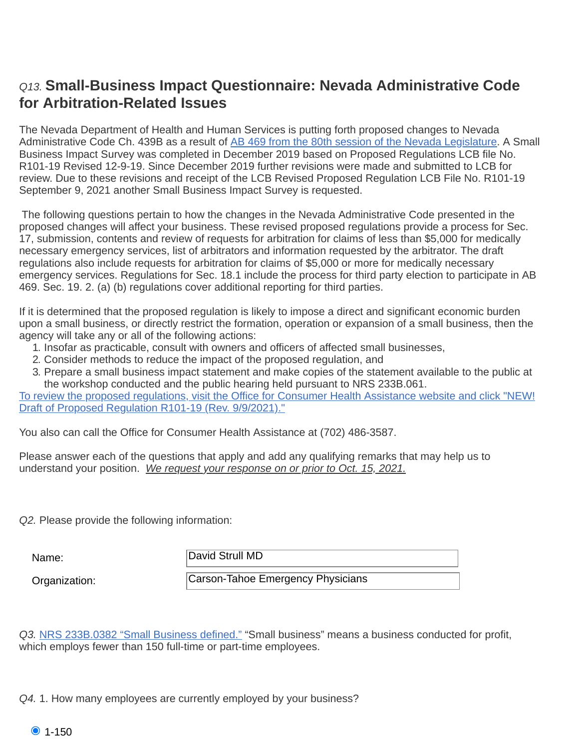## *Q13.* **Small-Business Impact Questionnaire: Nevada Administrative Code Small-Business Impact Questionnaire: Nevada Administrative Code for Arbitration-Related Issues for Arbitration-Related Issues**

The Nevada Department of Health and Human Services is putting forth proposed changes to Nevada The Nevada Department of Health and Human Services is putting forth proposed changes to Nevada Administrative Code Ch. 439B as a result of <u>AB 469 from the 80th session of the Nevada Legislature</u>. A Small Business Impact Survey was completed in December 2019 based on Proposed Regulations LCB file No. Business Impact Survey was completed in December 2019 based on Proposed Regulations LCB file No. R101-19 Revised 12-9-19. Since December 2019 further revisions were made and submitted to LCB for R101-19 Revised 12-9-19. Since December 2019 further revisions were made and submitted to LCB for<br>review. Due to these revisions and receipt of the LCB Revised Proposed Regulation LCB File No. R101-19 September 9, 2021 another Small Business Impact Survey is requested. September 9, 2021 another Small Business Impact Survey is requested.

 The following questions pertain to how the changes in the Nevada Administrative Code presented in the The following questions pertain to how the changes in the Nevada Administrative Code presented in the proposed changes will affect your business. These revised proposed regulations provide a process for Sec. proposed changes will affect your business. These revised proposed regulations provide a process for Sec. 17, submission, contents and review of requests for arbitration for claims of less than \$5,000 for medically 17, submission, contents and review of requests for arbitration for claims of less than \$5,000 for medically necessary emergency services, list of arbitrators and information requested by the arbitrator. The draft necessary emergency services, list of arbitrators and information requested by the arbitrator. The draft regulations also include requests for arbitration for claims of \$5,000 or more for medically necessary regulations also include requests for arbitration for claims of \$5,000 or more for medically necessary emergency services. Regulations for Sec. 18.1 include the process for third party election to participate in AB emergency services. Regulations for Sec. 18.1 include the process for third party election to participate in AB 469. Sec. 19. 2. (a) (b) regulations cover additional reporting for third parties. 469. Sec. 19. 2. (a) (b) regulations cover additional reporting for third parties.

If it is determined that the proposed regulation is likely to impose a direct and significant economic burden If it is determined that the proposed regulation is likely to impose a direct and significant economic burden upon a small business, or directly restrict the formation, operation or expansion of a small business, then the upon a small business, or directly restrict the formation, operation or expansion of a small business, then the agency will take any or all of the following actions: agency will take any or all of the following actions:

- 
- 1. Insofar as practicable, consult with owners and officers of affected small businesses,<br>2. Consider methods to reduce the impact of the proposed regulation, and 2. Consider methods to reduce the impact of the proposed regulation, and
- 3. Prepare a small business impact statement and make copies of the statement available to the public at the workshop conducted and the public hearing held pursuant to NRS 233B.061. the workshop conducted and the public hearing held pursuant to NRS 233B.061.

[To review the proposed regulations, visit the Office for Consumer Health Assistance website and click "NEW!](http://dhhs.nv.gov/Programs/CHA/) Draft of Proposed Regulation R101-19 (Rev. 9/9/2021)." Draft of Proposed Regulation R101-19 (Rev. 9/9/2021)."

You also can call the Office for Consumer Health Assistance at (702) 486-3587. You also can call the Office for Consumer Health Assistance at (702) 486-3587.

Please answer each of the questions that apply and add any qualifying remarks that may help us to<br>understand your position. We request your response on or prior to Oct. 15, 2021. understand your position. *W e request your response on or prior to Oct. 15, 2021.*

*Q2.* Please provide the following information: *Q2.* Please provide the following information:

Name:  $|$ David Strull MD

Organization: Organization: Carson-Tahoe Emergency Physicians

*Q3.* NRS 233B.0382 "Small Business defined." "Small business" means a business conducted for profit, *Q3.* [NRS 233B.0382 "Small Business defined."](https://www.leg.state.nv.us/nrs/NRS-233B.html#NRS233BSec0382) "Small business" means a business conducted for profit, which employs fewer than 150 full-time or part-time employees. which employs fewer than 150 full-time or part-time employees.

*Q4. Q4.* 1. How many employees are currently employed by your business?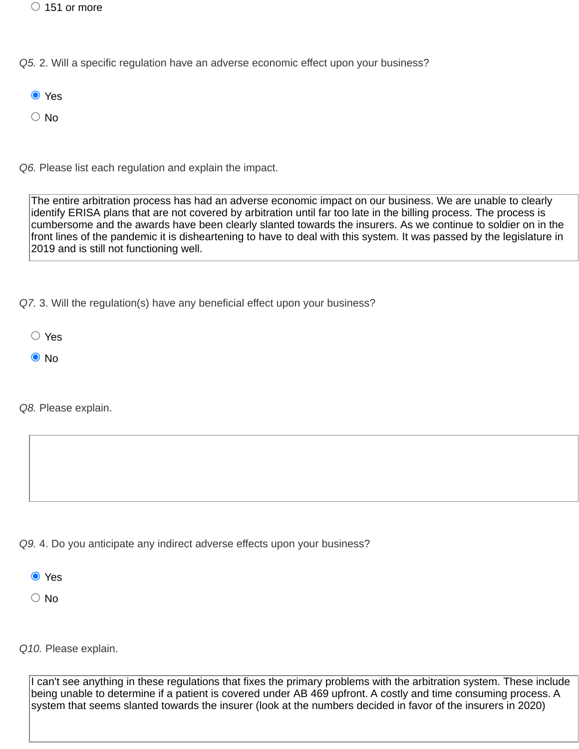$\circlearrowright$  151 or more

*Q5. Q5.* 2. Will a specific regulation have an adverse economic effect upon your business?

- **O** Yes
- $\bigcirc$  No

*Q6.* Please list each regulation and explain the impact. *Q6.* Please list each regulation and explain the impact.

The entire arbitration process has had an adverse economic impact on our business. We are unable to clearly identify ERISA plans that are not covered by arbitration until far too late in the billing process. The process is cumbersome and the awards have been clearly slanted towards the insurers. As we continue to soldier on in the front lines of the pandemic it is disheartening to have to deal with this system. It was passed by the legislature in 2019 and is still not functioning well.

*Q7. Q7.* 3. Will the regulation(s) have any beneficial effect upon your business?

Yes

O No

*Q8.* Please explain. *Q8.* Please explain.

*Q9. Q9.* 4. Do you anticipate any indirect adverse effects upon your business?

**O** Yes

 $\bigcirc$  No

*Q10.* Please explain. *Q10.* Please explain.

I can't see anything in these regulations that fixes the primary problems with the arbitration system. These include being unable to determine if a patient is covered under AB 469 upfront. A costly and time consuming process. A system that seems slanted towards the insurer (look at the numbers decided in favor of the insurers in 2020)